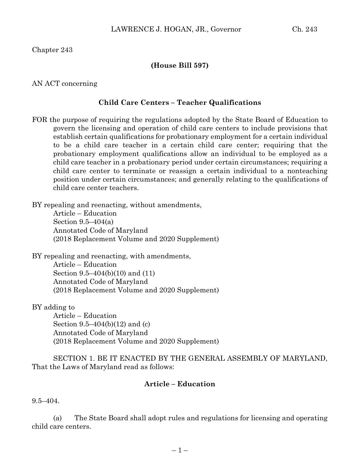Chapter 243

# **(House Bill 597)**

### AN ACT concerning

# **Child Care Centers – Teacher Qualifications**

FOR the purpose of requiring the regulations adopted by the State Board of Education to govern the licensing and operation of child care centers to include provisions that establish certain qualifications for probationary employment for a certain individual to be a child care teacher in a certain child care center; requiring that the probationary employment qualifications allow an individual to be employed as a child care teacher in a probationary period under certain circumstances; requiring a child care center to terminate or reassign a certain individual to a nonteaching position under certain circumstances; and generally relating to the qualifications of child care center teachers.

BY repealing and reenacting, without amendments,

Article – Education Section 9.5–404(a) Annotated Code of Maryland (2018 Replacement Volume and 2020 Supplement)

BY repealing and reenacting, with amendments, Article – Education Section 9.5–404(b)(10) and (11) Annotated Code of Maryland (2018 Replacement Volume and 2020 Supplement)

BY adding to

Article – Education Section 9.5–404(b)(12) and (c) Annotated Code of Maryland (2018 Replacement Volume and 2020 Supplement)

SECTION 1. BE IT ENACTED BY THE GENERAL ASSEMBLY OF MARYLAND, That the Laws of Maryland read as follows:

## **Article – Education**

9.5–404.

(a) The State Board shall adopt rules and regulations for licensing and operating child care centers.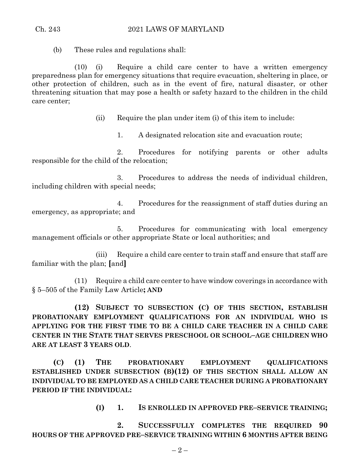#### Ch. 243 2021 LAWS OF MARYLAND

(b) These rules and regulations shall:

(10) (i) Require a child care center to have a written emergency preparedness plan for emergency situations that require evacuation, sheltering in place, or other protection of children, such as in the event of fire, natural disaster, or other threatening situation that may pose a health or safety hazard to the children in the child care center;

(ii) Require the plan under item (i) of this item to include:

1. A designated relocation site and evacuation route;

2. Procedures for notifying parents or other adults responsible for the child of the relocation;

3. Procedures to address the needs of individual children, including children with special needs;

4. Procedures for the reassignment of staff duties during an emergency, as appropriate; and

5. Procedures for communicating with local emergency management officials or other appropriate State or local authorities; and

(iii) Require a child care center to train staff and ensure that staff are familiar with the plan; **[**and**]**

(11) Require a child care center to have window coverings in accordance with § 5–505 of the Family Law Article**; AND**

**(12) SUBJECT TO SUBSECTION (C) OF THIS SECTION, ESTABLISH PROBATIONARY EMPLOYMENT QUALIFICATIONS FOR AN INDIVIDUAL WHO IS APPLYING FOR THE FIRST TIME TO BE A CHILD CARE TEACHER IN A CHILD CARE CENTER IN THE STATE THAT SERVES PRESCHOOL OR SCHOOL–AGE CHILDREN WHO ARE AT LEAST 3 YEARS OLD**.

**(C) (1) THE PROBATIONARY EMPLOYMENT QUALIFICATIONS ESTABLISHED UNDER SUBSECTION (B)(12) OF THIS SECTION SHALL ALLOW AN INDIVIDUAL TO BE EMPLOYED AS A CHILD CARE TEACHER DURING A PROBATIONARY PERIOD IF THE INDIVIDUAL:**

**(I) 1. IS ENROLLED IN APPROVED PRE–SERVICE TRAINING;**

**2. SUCCESSFULLY COMPLETES THE REQUIRED 90 HOURS OF THE APPROVED PRE–SERVICE TRAINING WITHIN 6 MONTHS AFTER BEING**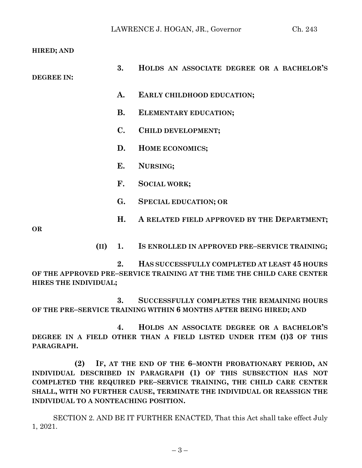**HIRED; AND**

| <b>DEGREE IN:</b> | 3.                            | HOLDS AN ASSOCIATE DEGREE OR A BACHELOR'S   |
|-------------------|-------------------------------|---------------------------------------------|
|                   | A.                            | EARLY CHILDHOOD EDUCATION;                  |
|                   | <b>B.</b>                     | ELEMENTARY EDUCATION;                       |
|                   | $\mathbf{C}$ .                | CHILD DEVELOPMENT;                          |
|                   | D.                            | HOME ECONOMICS;                             |
|                   | Е.                            | NURSING;                                    |
|                   | F.                            | <b>SOCIAL WORK;</b>                         |
|                   | G.                            | <b>SPECIAL EDUCATION; OR</b>                |
| <b>OR</b>         | H.                            | A RELATED FIELD APPROVED BY THE DEPARTMENT; |
|                   | and the state of the state of |                                             |

**(II) 1. IS ENROLLED IN APPROVED PRE–SERVICE TRAINING;**

**2. HAS SUCCESSFULLY COMPLETED AT LEAST 45 HOURS OF THE APPROVED PRE–SERVICE TRAINING AT THE TIME THE CHILD CARE CENTER HIRES THE INDIVIDUAL;**

**3. SUCCESSFULLY COMPLETES THE REMAINING HOURS OF THE PRE–SERVICE TRAINING WITHIN 6 MONTHS AFTER BEING HIRED; AND**

**4. HOLDS AN ASSOCIATE DEGREE OR A BACHELOR'S DEGREE IN A FIELD OTHER THAN A FIELD LISTED UNDER ITEM (I)3 OF THIS PARAGRAPH.**

**(2) IF, AT THE END OF THE 6–MONTH PROBATIONARY PERIOD, AN INDIVIDUAL DESCRIBED IN PARAGRAPH (1) OF THIS SUBSECTION HAS NOT COMPLETED THE REQUIRED PRE–SERVICE TRAINING, THE CHILD CARE CENTER SHALL, WITH NO FURTHER CAUSE, TERMINATE THE INDIVIDUAL OR REASSIGN THE INDIVIDUAL TO A NONTEACHING POSITION.**

SECTION 2. AND BE IT FURTHER ENACTED, That this Act shall take effect July 1, 2021.